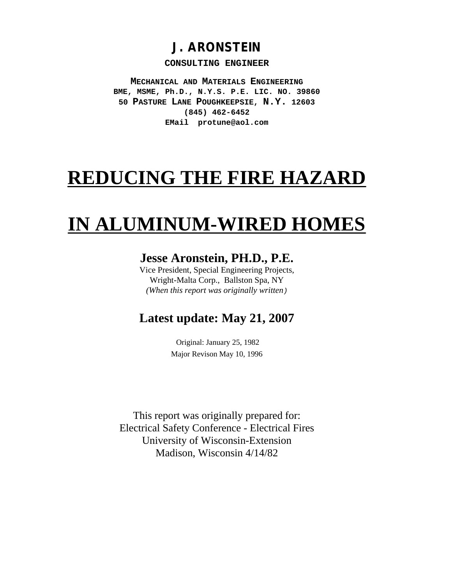## **J. ARONSTEIN**

#### **CONSULTING ENGINEER**

**MECHANICAL AND MATERIALS ENGINEERING BME, MSME, Ph.D., N.Y.S. P.E. LIC. NO. 39860 50 PASTURE LANE POUGHKEEPSIE, N.Y. 12603 (845) 462-6452 EMail protune@aol.com**

# **REDUCING THE FIRE HAZARD**

# **IN ALUMINUM-WIRED HOMES**

### **Jesse Aronstein, PH.D., P.E.**

Vice President, Special Engineering Projects, Wright-Malta Corp., Ballston Spa, NY *(When this report was originally written)*

### **Latest update: May 21, 2007**

 Original: January 25, 1982 Major Revison May 10, 1996

This report was originally prepared for: Electrical Safety Conference - Electrical Fires University of Wisconsin-Extension Madison, Wisconsin 4/14/82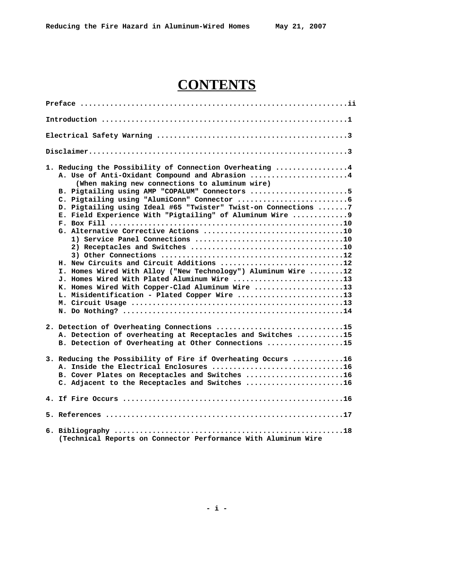# **CONTENTS**

| 1. Reducing the Possibility of Connection Overheating 4<br>A. Use of Anti-Oxidant Compound and Abrasion 4<br>(When making new connections to aluminum wire)<br>B. Pigtailing using AMP "COPALUM" Connectors 5<br>D. Pigtailing using Ideal #65 "Twister" Twist-on Connections 7<br>E. Field Experience With "Pigtailing" of Aluminum Wire 9<br>H. New Circuits and Circuit Additions 12<br>I. Homes Wired With Alloy ("New Technology") Aluminum Wire 12<br>J. Homes Wired With Plated Aluminum Wire 13<br>K. Homes Wired With Copper-Clad Aluminum Wire 13<br>L. Misidentification - Plated Copper Wire 13 |
|-------------------------------------------------------------------------------------------------------------------------------------------------------------------------------------------------------------------------------------------------------------------------------------------------------------------------------------------------------------------------------------------------------------------------------------------------------------------------------------------------------------------------------------------------------------------------------------------------------------|
| 2. Detection of Overheating Connections 15<br>A. Detection of overheating at Receptacles and Switches 15<br>B. Detection of Overheating at Other Connections 15                                                                                                                                                                                                                                                                                                                                                                                                                                             |
| 3. Reducing the Possibility of Fire if Overheating Occurs 16<br>A. Inside the Electrical Enclosures 16<br>B. Cover Plates on Receptacles and Switches 16<br>C. Adjacent to the Receptacles and Switches 16                                                                                                                                                                                                                                                                                                                                                                                                  |
|                                                                                                                                                                                                                                                                                                                                                                                                                                                                                                                                                                                                             |
|                                                                                                                                                                                                                                                                                                                                                                                                                                                                                                                                                                                                             |
| (Technical Reports on Connector Performance With Aluminum Wire                                                                                                                                                                                                                                                                                                                                                                                                                                                                                                                                              |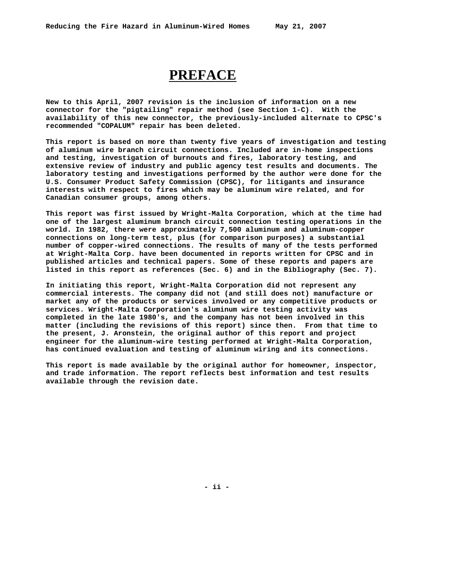### **PREFACE**

**New to this April, 2007 revision is the inclusion of information on a new connector for the "pigtailing" repair method (see Section 1-C). With the availability of this new connector, the previously-included alternate to CPSC's recommended "COPALUM" repair has been deleted.** 

**This report is based on more than twenty five years of investigation and testing of aluminum wire branch circuit connections. Included are in-home inspections and testing, investigation of burnouts and fires, laboratory testing, and extensive review of industry and public agency test results and documents. The laboratory testing and investigations performed by the author were done for the U.S. Consumer Product Safety Commission (CPSC), for litigants and insurance interests with respect to fires which may be aluminum wire related, and for Canadian consumer groups, among others.**

**This report was first issued by Wright-Malta Corporation, which at the time had one of the largest aluminum branch circuit connection testing operations in the world. In 1982, there were approximately 7,500 aluminum and aluminum-copper connections on long-term test, plus (for comparison purposes) a substantial number of copper-wired connections. The results of many of the tests performed at Wright-Malta Corp. have been documented in reports written for CPSC and in published articles and technical papers. Some of these reports and papers are listed in this report as references (Sec. 6) and in the Bibliography (Sec. 7).**

**In initiating this report, Wright-Malta Corporation did not represent any commercial interests. The company did not (and still does not) manufacture or market any of the products or services involved or any competitive products or services. Wright-Malta Corporation's aluminum wire testing activity was completed in the late 1980's, and the company has not been involved in this matter (including the revisions of this report) since then. From that time to the present, J. Aronstein, the original author of this report and project engineer for the aluminum-wire testing performed at Wright-Malta Corporation, has continued evaluation and testing of aluminum wiring and its connections.**

**This report is made available by the original author for homeowner, inspector, and trade information. The report reflects best information and test results available through the revision date.**

**- ii -**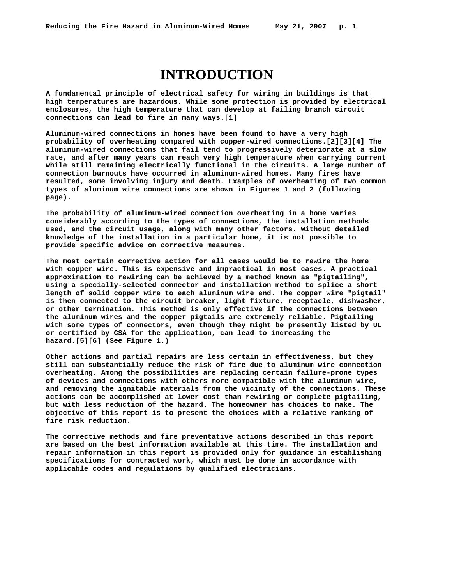## **INTRODUCTION**

**A fundamental principle of electrical safety for wiring in buildings is that high temperatures are hazardous. While some protection is provided by electrical enclosures, the high temperature that can develop at failing branch circuit connections can lead to fire in many ways.[1]**

**Aluminum-wired connections in homes have been found to have a very high probability of overheating compared with copper-wired connections.[2][3][4] The aluminum-wired connections that fail tend to progressively deteriorate at a slow rate, and after many years can reach very high temperature when carrying current while still remaining electrically functional in the circuits. A large number of connection burnouts have occurred in aluminum-wired homes. Many fires have resulted, some involving injury and death. Examples of overheating of two common types of aluminum wire connections are shown in Figures 1 and 2 (following page).**

**The probability of aluminum-wired connection overheating in a home varies considerably according to the types of connections, the installation methods used, and the circuit usage, along with many other factors. Without detailed knowledge of the installation in a particular home, it is not possible to provide specific advice on corrective measures.**

**The most certain corrective action for all cases would be to rewire the home with copper wire. This is expensive and impractical in most cases. A practical approximation to rewiring can be achieved by a method known as "pigtailing", using a specially-selected connector and installation method to splice a short length of solid copper wire to each aluminum wire end. The copper wire "pigtail" is then connected to the circuit breaker, light fixture, receptacle, dishwasher, or other termination. This method is only effective if the connections between the aluminum wires and the copper pigtails are extremely reliable. Pigtailing with some types of connectors, even though they might be presently listed by UL or certified by CSA for the application, can lead to increasing the hazard.[5][6] (See Figure 1.)**

**Other actions and partial repairs are less certain in effectiveness, but they still can substantially reduce the risk of fire due to aluminum wire connection overheating. Among the possibilities are replacing certain failure-prone types of devices and connections with others more compatible with the aluminum wire, and removing the ignitable materials from the vicinity of the connections. These actions can be accomplished at lower cost than rewiring or complete pigtailing, but with less reduction of the hazard. The homeowner has choices to make. The objective of this report is to present the choices with a relative ranking of fire risk reduction.**

**The corrective methods and fire preventative actions described in this report are based on the best information available at this time. The installation and repair information in this report is provided only for guidance in establishing specifications for contracted work, which must be done in accordance with applicable codes and regulations by qualified electricians.**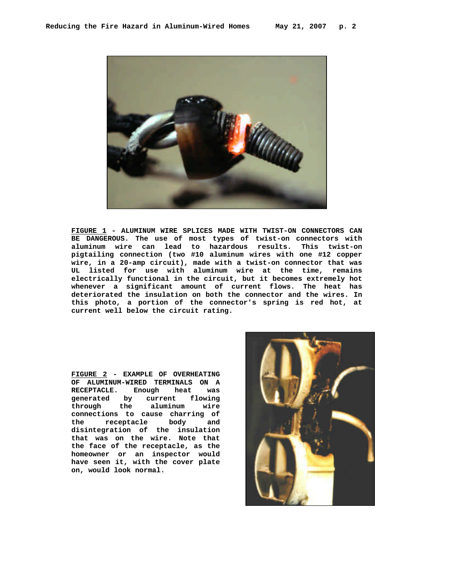

**FIGURE 1 - ALUMINUM WIRE SPLICES MADE WITH TWIST-ON CONNECTORS CAN BE DANGEROUS. The use of most types of twist-on connectors with aluminum wire can lead to hazardous results. This twist-on pigtailing connection (two #10 aluminum wires with one #12 copper wire, in a 20-amp circuit), made with a twist-on connector that was UL listed for use with aluminum wire at the time, remains electrically functional in the circuit, but it becomes extremely hot whenever a significant amount of current flows. The heat has deteriorated the insulation on both the connector and the wires. In this photo, a portion of the connector's spring is red hot, at current well below the circuit rating.**

**FIGURE 2 - EXAMPLE OF OVERHEATING OF ALUMINUM-WIRED TERMINALS ON A RECEPTACLE. Enough heat was generated by current flowing through the aluminum wire connections to cause charring of the receptacle body and disintegration of the insulation that was on the wire. Note that the face of the receptacle, as the homeowner or an inspector would have seen it, with the cover plate on, would look normal.**

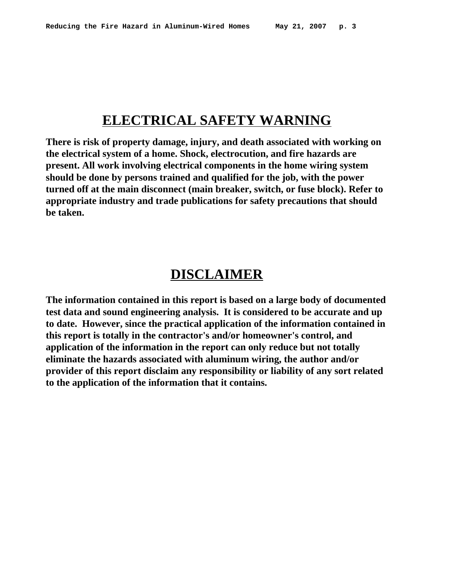## **ELECTRICAL SAFETY WARNING**

**There is risk of property damage, injury, and death associated with working on the electrical system of a home. Shock, electrocution, and fire hazards are present. All work involving electrical components in the home wiring system should be done by persons trained and qualified for the job, with the power turned off at the main disconnect (main breaker, switch, or fuse block). Refer to appropriate industry and trade publications for safety precautions that should be taken.**

### **DISCLAIMER**

**The information contained in this report is based on a large body of documented test data and sound engineering analysis. It is considered to be accurate and up to date. However, since the practical application of the information contained in this report is totally in the contractor's and/or homeowner's control, and application of the information in the report can only reduce but not totally eliminate the hazards associated with aluminum wiring, the author and/or provider of this report disclaim any responsibility or liability of any sort related to the application of the information that it contains.**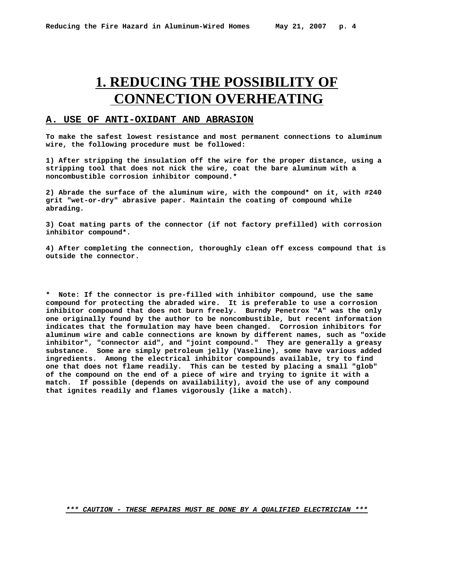## **1. REDUCING THE POSSIBILITY OF CONNECTION OVERHEATING**

#### **A. USE OF ANTI-OXIDANT AND ABRASION**

**To make the safest lowest resistance and most permanent connections to aluminum wire, the following procedure must be followed:**

**1) After stripping the insulation off the wire for the proper distance, using a stripping tool that does not nick the wire, coat the bare aluminum with a noncombustible corrosion inhibitor compound.\***

**2) Abrade the surface of the aluminum wire, with the compound\* on it, with #240 grit "wet-or-dry" abrasive paper. Maintain the coating of compound while abrading.** 

**3) Coat mating parts of the connector (if not factory prefilled) with corrosion inhibitor compound\*.**

**4) After completing the connection, thoroughly clean off excess compound that is outside the connector.**

**\* Note: If the connector is pre-filled with inhibitor compound, use the same compound for protecting the abraded wire. It is preferable to use a corrosion inhibitor compound that does not burn freely. Burndy Penetrox "A" was the only one originally found by the author to be noncombustible, but recent information indicates that the formulation may have been changed. Corrosion inhibitors for aluminum wire and cable connections are known by different names, such as "oxide inhibitor", "connector aid", and "joint compound." They are generally a greasy substance. Some are simply petroleum jelly (Vaseline), some have various added ingredients. Among the electrical inhibitor compounds available, try to find one that does not flame readily. This can be tested by placing a small "glob" of the compound on the end of a piece of wire and trying to ignite it with a match. If possible (depends on availability), avoid the use of any compound that ignites readily and flames vigorously (like a match).**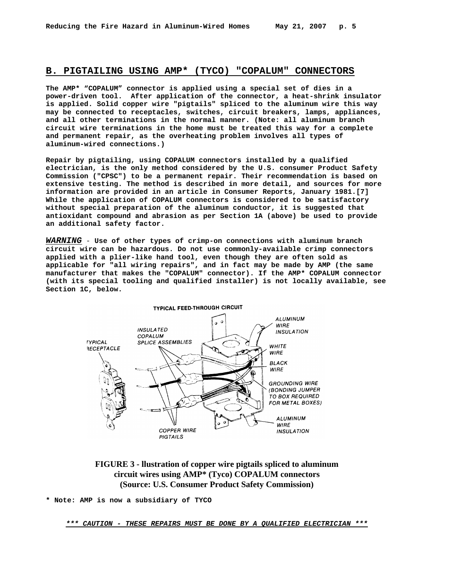#### **B. PIGTAILING USING AMP\* (TYCO) "COPALUM" CONNECTORS**

**The AMP\* "COPALUM" connector is applied using a special set of dies in a power-driven tool. After application of the connector, a heat-shrink insulator is applied. Solid copper wire "pigtails" spliced to the aluminum wire this way may be connected to receptacles, switches, circuit breakers, lamps, appliances, and all other terminations in the normal manner. (Note: all aluminum branch circuit wire terminations in the home must be treated this way for a complete and permanent repair, as the overheating problem involves all types of aluminum-wired connections.)**

**Repair by pigtailing, using COPALUM connectors installed by a qualified electrician, is the only method considered by the U.S. consumer Product Safety Commission ("CPSC") to be a permanent repair. Their recommendation is based on extensive testing. The method is described in more detail, and sources for more information are provided in an article in Consumer Reports, January 1981.[7] While the application of COPALUM connectors is considered to be satisfactory without special preparation of the aluminum conductor, it is suggested that antioxidant compound and abrasion as per Section 1A (above) be used to provide an additional safety factor.**

*WARNING* - **Use of other types of crimp-on connections with aluminum branch circuit wire can be hazardous. Do not use commonly-available crimp connectors applied with a plier-like hand tool, even though they are often sold as applicable for "all wiring repairs", and in fact may be made by AMP (the same manufacturer that makes the "COPALUM" connector). If the AMP\* COPALUM connector (with its special tooling and qualified installer) is not locally available, see Section 1C, below.**



**FIGURE 3 - llustration of copper wire pigtails spliced to aluminum circuit wires using AMP\* (Tyco) COPALUM connectors (Source: U.S. Consumer Product Safety Commission)**

**\* Note: AMP is now a subsidiary of TYCO**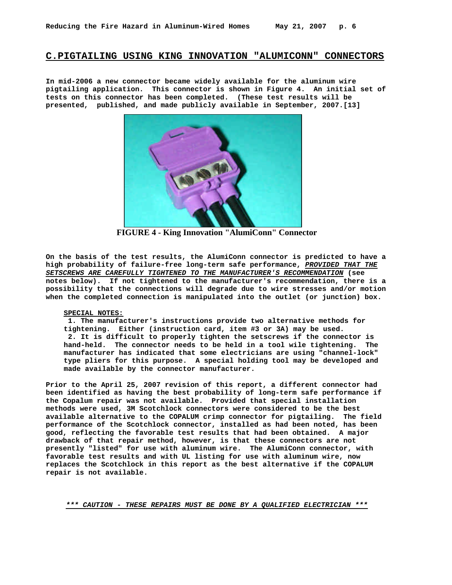#### **C.PIGTAILING USING KING INNOVATION "ALUMICONN" CONNECTORS**

**In mid-2006 a new connector became widely available for the aluminum wire pigtailing application. This connector is shown in Figure 4. An initial set of tests on this connector has been completed. (These test results will be presented, published, and made publicly available in September, 2007.[13]**



**FIGURE 4 - King Innovation "AlumiConn" Connector**

**On the basis of the test results, the AlumiConn connector is predicted to have a high probability of failure-free long-term safe performance,** *PROVIDED THAT THE SETSCREWS ARE CAREFULLY TIGHTENED TO THE MANUFACTURER'S RECOMMENDATION* **(see notes below). If not tightened to the manufacturer's recommendation, there is a possibility that the connections will degrade due to wire stresses and/or motion when the completed connection is manipulated into the outlet (or junction) box.**

#### **SPECIAL NOTES:**

 **1. The manufacturer's instructions provide two alternative methods for tightening. Either (instruction card, item #3 or 3A) may be used. 2. It is difficult to properly tighten the setscrews if the connector is hand-held. The connector needs to be held in a tool wile tightening. The manufacturer has indicated that some electricians are using "channel-lock" type pliers for this purpose. A special holding tool may be developed and made available by the connector manufacturer.**

**Prior to the April 25, 2007 revision of this report, a different connector had been identified as having the best probability of long-term safe performance if the Copalum repair was not available. Provided that special installation methods were used, 3M Scotchlock connectors were considered to be the best available alternative to the COPALUM crimp connector for pigtailing. The field performance of the Scotchlock connector, installed as had been noted, has been good, reflecting the favorable test results that had been obtained. A major drawback of that repair method, however, is that these connectors are not presently "listed" for use with aluminum wire. The AlumiConn connector, with favorable test results and with UL listing for use with aluminum wire, now replaces the Scotchlock in this report as the best alternative if the COPALUM repair is not available.**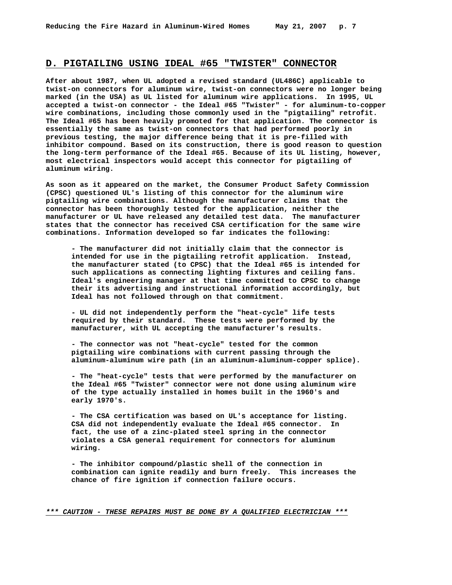#### **D. PIGTAILING USING IDEAL #65 "TWISTER" CONNECTOR**

**After about 1987, when UL adopted a revised standard (UL486C) applicable to twist-on connectors for aluminum wire, twist-on connectors were no longer being marked (in the USA) as UL listed for aluminum wire applications. In 1995, UL accepted a twist-on connector - the Ideal #65 "Twister" - for aluminum-to-copper wire combinations, including those commonly used in the "pigtailing" retrofit. The Ideal #65 has been heavily promoted for that application. The connector is essentially the same as twist-on connectors that had performed poorly in previous testing, the major difference being that it is pre-filled with inhibitor compound. Based on its construction, there is good reason to question the long-term performance of the Ideal #65. Because of its UL listing, however, most electrical inspectors would accept this connector for pigtailing of aluminum wiring.**

**As soon as it appeared on the market, the Consumer Product Safety Commission (CPSC) questioned UL's listing of this connector for the aluminum wire pigtailing wire combinations. Although the manufacturer claims that the connector has been thoroughly tested for the application, neither the manufacturer or UL have released any detailed test data. The manufacturer states that the connector has received CSA certification for the same wire combinations. Information developed so far indicates the following:**

**- The manufacturer did not initially claim that the connector is intended for use in the pigtailing retrofit application. Instead, the manufacturer stated (to CPSC) that the Ideal #65 is intended for such applications as connecting lighting fixtures and ceiling fans. Ideal's engineering manager at that time committed to CPSC to change their its advertising and instructional information accordingly, but Ideal has not followed through on that commitment.**

**- UL did not independently perform the "heat-cycle" life tests required by their standard. These tests were performed by the manufacturer, with UL accepting the manufacturer's results.** 

**- The connector was not "heat-cycle" tested for the common pigtailing wire combinations with current passing through the aluminum-aluminum wire path (in an aluminum-aluminum-copper splice).**

**- The "heat-cycle" tests that were performed by the manufacturer on the Ideal #65 "Twister" connector were not done using aluminum wire of the type actually installed in homes built in the 1960's and early 1970's.**

**- The CSA certification was based on UL's acceptance for listing. CSA did not independently evaluate the Ideal #65 connector. In fact, the use of a zinc-plated steel spring in the connector violates a CSA general requirement for connectors for aluminum wiring.**

**- The inhibitor compound/plastic shell of the connection in combination can ignite readily and burn freely. This increases the chance of fire ignition if connection failure occurs.**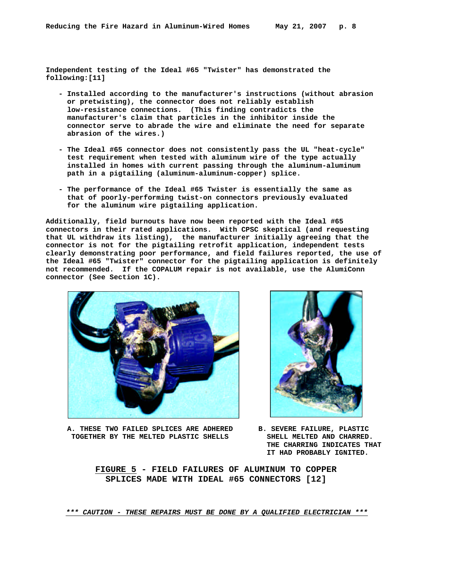**Independent testing of the Ideal #65 "Twister" has demonstrated the following:[11]**

- **Installed according to the manufacturer's instructions (without abrasion or pretwisting), the connector does not reliably establish low-resistance connections. (This finding contradicts the manufacturer's claim that particles in the inhibitor inside the connector serve to abrade the wire and eliminate the need for separate abrasion of the wires.)**
- **The Ideal #65 connector does not consistently pass the UL "heat-cycle" test requirement when tested with aluminum wire of the type actually installed in homes with current passing through the aluminum-aluminum path in a pigtailing (aluminum-aluminum-copper) splice.**
- **The performance of the Ideal #65 Twister is essentially the same as that of poorly-performing twist-on connectors previously evaluated for the aluminum wire pigtailing application.**

**Additionally, field burnouts have now been reported with the Ideal #65 connectors in their rated applications. With CPSC skeptical (and requesting that UL withdraw its listing), the manufacturer initially agreeing that the connector is not for the pigtailing retrofit application, independent tests clearly demonstrating poor performance, and field failures reported, the use of the Ideal #65 "Twister" connector for the pigtailing application is definitely not recommended. If the COPALUM repair is not available, use the AlumiConn connector (See Section 1C).**



 **A. THESE TWO FAILED SPLICES ARE ADHERED B. SEVERE FAILURE, PLASTIC TOGETHER BY THE MELTED PLASTIC SHELLS SHELL MELTED AND CHARRED.** 



 **THE CHARRING INDICATES THAT IT HAD PROBABLY IGNITED.**

 **FIGURE 5 - FIELD FAILURES OF ALUMINUM TO COPPER SPLICES MADE WITH IDEAL #65 CONNECTORS [12]**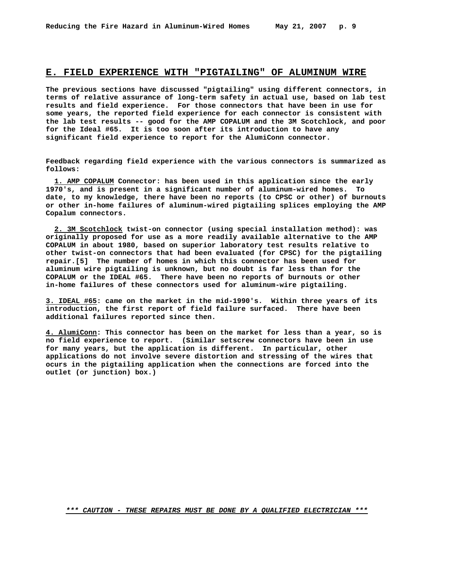#### **E. FIELD EXPERIENCE WITH "PIGTAILING" OF ALUMINUM WIRE**

**The previous sections have discussed "pigtailing" using different connectors, in terms of relative assurance of long-term safety in actual use, based on lab test results and field experience. For those connectors that have been in use for some years, the reported field experience for each connector is consistent with the lab test results -- good for the AMP COPALUM and the 3M Scotchlock, and poor for the Ideal #65. It is too soon after its introduction to have any significant field experience to report for the AlumiConn connector.**

**Feedback regarding field experience with the various connectors is summarized as follows:**

 **1. AMP COPALUM Connector: has been used in this application since the early 1970's, and is present in a significant number of aluminum-wired homes. To date, to my knowledge, there have been no reports (to CPSC or other) of burnouts or other in-home failures of aluminum-wired pigtailing splices employing the AMP Copalum connectors.**

 **2. 3M Scotchlock twist-on connector (using special installation method): was originally proposed for use as a more readily available alternative to the AMP COPALUM in about 1980, based on superior laboratory test results relative to other twist-on connectors that had been evaluated (for CPSC) for the pigtailing repair.[5] The number of homes in which this connector has been used for aluminum wire pigtailing is unknown, but no doubt is far less than for the COPALUM or the IDEAL #65. There have been no reports of burnouts or other in-home failures of these connectors used for aluminum-wire pigtailing.**

**3. IDEAL #65: came on the market in the mid-1990's. Within three years of its introduction, the first report of field failure surfaced. There have been additional failures reported since then.**

**4. AlumiConn: This connector has been on the market for less than a year, so is no field experience to report. (Similar setscrew connectors have been in use for many years, but the application is different. In particular, other applications do not involve severe distortion and stressing of the wires that ocurs in the pigtailing application when the connections are forced into the outlet (or junction) box.)**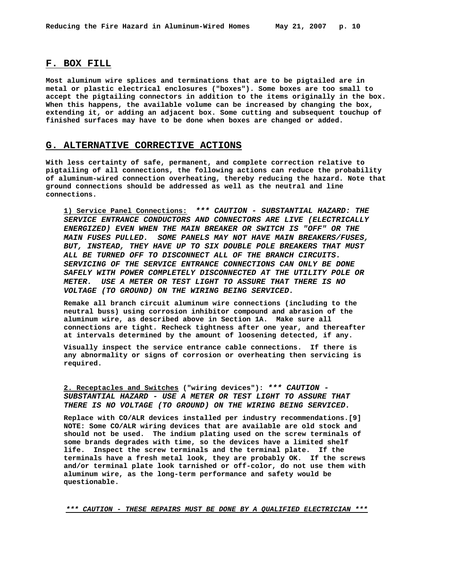#### **F. BOX FILL**

**Most aluminum wire splices and terminations that are to be pigtailed are in metal or plastic electrical enclosures ("boxes"). Some boxes are too small to accept the pigtailing connectors in addition to the items originally in the box. When this happens, the available volume can be increased by changing the box, extending it, or adding an adjacent box. Some cutting and subsequent touchup of finished surfaces may have to be done when boxes are changed or added.**

#### **G. ALTERNATIVE CORRECTIVE ACTIONS**

**With less certainty of safe, permanent, and complete correction relative to pigtailing of all connections, the following actions can reduce the probability of aluminum-wired connection overheating, thereby reducing the hazard. Note that ground connections should be addressed as well as the neutral and line connections.**

**1) Service Panel Connections:** *\*\*\* CAUTION - SUBSTANTIAL HAZARD: THE SERVICE ENTRANCE CONDUCTORS AND CONNECTORS ARE LIVE (ELECTRICALLY ENERGIZED) EVEN WHEN THE MAIN BREAKER OR SWITCH IS "OFF" OR THE MAIN FUSES PULLED. SOME PANELS MAY NOT HAVE MAIN BREAKERS/FUSES, BUT, INSTEAD, THEY HAVE UP TO SIX DOUBLE POLE BREAKERS THAT MUST ALL BE TURNED OFF TO DISCONNECT ALL OF THE BRANCH CIRCUITS. SERVICING OF THE SERVICE ENTRANCE CONNECTIONS CAN ONLY BE DONE SAFELY WITH POWER COMPLETELY DISCONNECTED AT THE UTILITY POLE OR METER. USE A METER OR TEST LIGHT TO ASSURE THAT THERE IS NO VOLTAGE (TO GROUND) ON THE WIRING BEING SERVICED.* 

**Remake all branch circuit aluminum wire connections (including to the neutral buss) using corrosion inhibitor compound and abrasion of the aluminum wire, as described above in Section 1A. Make sure all connections are tight. Recheck tightness after one year, and thereafter at intervals determined by the amount of loosening detected, if any.**

**Visually inspect the service entrance cable connections. If there is any abnormality or signs of corrosion or overheating then servicing is required.**

**2. Receptacles and Switches ("wiring devices"):** *\*\*\* CAUTION - SUBSTANTIAL HAZARD - USE A METER OR TEST LIGHT TO ASSURE THAT THERE IS NO VOLTAGE (TO GROUND) ON THE WIRING BEING SERVICED.*

**Replace with CO/ALR devices installed per industry recommendations.[9] NOTE: Some CO/ALR wiring devices that are available are old stock and should not be used. The indium plating used on the screw terminals of some brands degrades with time, so the devices have a limited shelf life. Inspect the screw terminals and the terminal plate. If the terminals have a fresh metal look, they are probably OK. If the screws and/or terminal plate look tarnished or off-color, do not use them with aluminum wire, as the long-term performance and safety would be questionable.**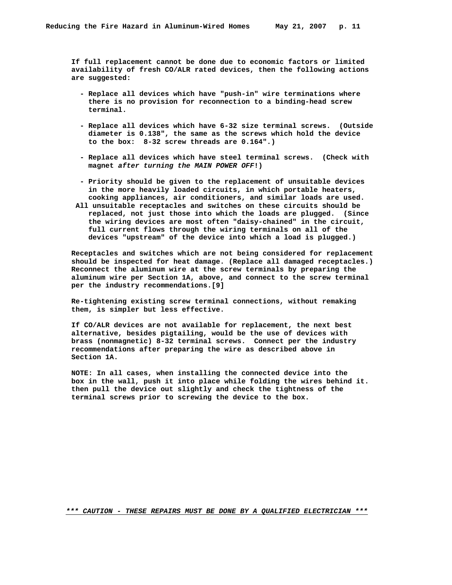**If full replacement cannot be done due to economic factors or limited availability of fresh CO/ALR rated devices, then the following actions are suggested:**

- **Replace all devices which have "push-in" wire terminations where there is no provision for reconnection to a binding-head screw terminal.**
- **Replace all devices which have 6-32 size terminal screws. (Outside diameter is 0.138", the same as the screws which hold the device to the box: 8-32 screw threads are 0.164".)**
- **Replace all devices which have steel terminal screws. (Check with magnet** *after turning the MAIN POWER OFF***!)**
- **Priority should be given to the replacement of unsuitable devices in the more heavily loaded circuits, in which portable heaters, cooking appliances, air conditioners, and similar loads are used.**
- **All unsuitable receptacles and switches on these circuits should be replaced, not just those into which the loads are plugged. (Since the wiring devices are most often "daisy-chained" in the circuit, full current flows through the wiring terminals on all of the devices "upstream" of the device into which a load is plugged.)**

 **Receptacles and switches which are not being considered for replacement should be inspected for heat damage. (Replace all damaged receptacles.) Reconnect the aluminum wire at the screw terminals by preparing the aluminum wire per Section 1A, above, and connect to the screw terminal per the industry recommendations.[9]**

 **Re-tightening existing screw terminal connections, without remaking them, is simpler but less effective.**

 **If CO/ALR devices are not available for replacement, the next best alternative, besides pigtailing, would be the use of devices with brass (nonmagnetic) 8-32 terminal screws. Connect per the industry recommendations after preparing the wire as described above in Section 1A.**

 **NOTE: In all cases, when installing the connected device into the box in the wall, push it into place while folding the wires behind it. then pull the device out slightly and check the tightness of the terminal screws prior to screwing the device to the box.**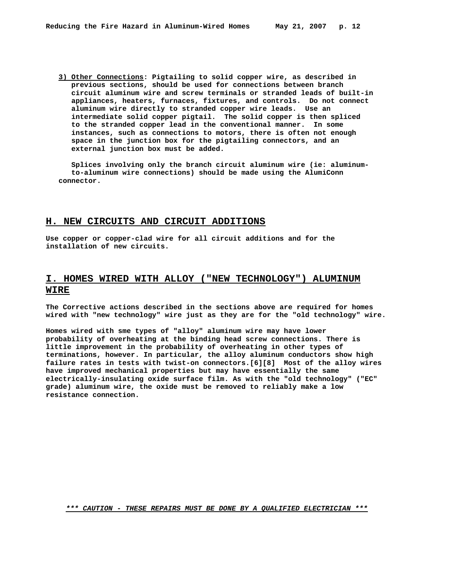**3) Other Connections: Pigtailing to solid copper wire, as described in previous sections, should be used for connections between branch circuit aluminum wire and screw terminals or stranded leads of built-in appliances, heaters, furnaces, fixtures, and controls. Do not connect aluminum wire directly to stranded copper wire leads. Use an intermediate solid copper pigtail. The solid copper is then spliced to the stranded copper lead in the conventional manner. In some instances, such as connections to motors, there is often not enough space in the junction box for the pigtailing connectors, and an external junction box must be added.**

 **Splices involving only the branch circuit aluminum wire (ie: aluminum to-aluminum wire connections) should be made using the AlumiConn connector.**

#### **H. NEW CIRCUITS AND CIRCUIT ADDITIONS**

**Use copper or copper-clad wire for all circuit additions and for the installation of new circuits.**

#### **I. HOMES WIRED WITH ALLOY ("NEW TECHNOLOGY") ALUMINUM WIRE**

**The Corrective actions described in the sections above are required for homes wired with "new technology" wire just as they are for the "old technology" wire.**

**Homes wired with sme types of "alloy" aluminum wire may have lower probability of overheating at the binding head screw connections. There is little improvement in the probability of overheating in other types of terminations, however. In particular, the alloy aluminum conductors show high failure rates in tests with twist-on connectors.[6][8] Most of the alloy wires have improved mechanical properties but may have essentially the same electrically-insulating oxide surface film. As with the "old technology" ("EC" grade) aluminum wire, the oxide must be removed to reliably make a low resistance connection.**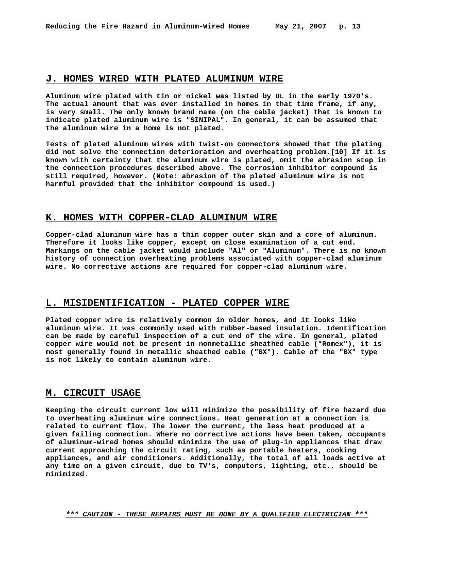#### **J. HOMES WIRED WITH PLATED ALUMINUM WIRE**

**Aluminum wire plated with tin or nickel was listed by UL in the early 1970's. The actual amount that was ever installed in homes in that time frame, if any, is very small. The only known brand name (on the cable jacket) that is known to indicate plated aluminum wire is "SINIPAL". In general, it can be assumed that the aluminum wire in a home is not plated.**

**Tests of plated aluminum wires with twist-on connectors showed that the plating did not solve the connection deterioration and overheating problem.[10] If it is known with certainty that the aluminum wire is plated, omit the abrasion step in the connection procedures described above. The corrosion inhibitor compound is still required, however. (Note: abrasion of the plated aluminum wire is not harmful provided that the inhibitor compound is used.)**

#### **K. HOMES WITH COPPER-CLAD ALUMINUM WIRE**

**Copper-clad aluminum wire has a thin copper outer skin and a core of aluminum. Therefore it looks like copper, except on close examination of a cut end. Markings on the cable jacket would include "Al" or "Aluminum". There is no known history of connection overheating problems associated with copper-clad aluminum wire. No corrective actions are required for copper-clad aluminum wire.**

#### **L. MISIDENTIFICATION - PLATED COPPER WIRE**

**Plated copper wire is relatively common in older homes, and it looks like aluminum wire. It was commonly used with rubber-based insulation. Identification can be made by careful inspection of a cut end of the wire. In general, plated copper wire would not be present in nonmetallic sheathed cable ("Romex"), it is most generally found in metallic sheathed cable ("BX"). Cable of the "BX" type is not likely to contain aluminum wire.**

#### **M. CIRCUIT USAGE**

**Keeping the circuit current low will minimize the possibility of fire hazard due to overheating aluminum wire connections. Heat generation at a connection is related to current flow. The lower the current, the less heat produced at a given failing connection. Where no corrective actions have been taken, occupants of aluminum-wired homes should minimize the use of plug-in appliances that draw current approaching the circuit rating, such as portable heaters, cooking appliances, and air conditioners. Additionally, the total of all loads active at any time on a given circuit, due to TV's, computers, lighting, etc., should be minimized.**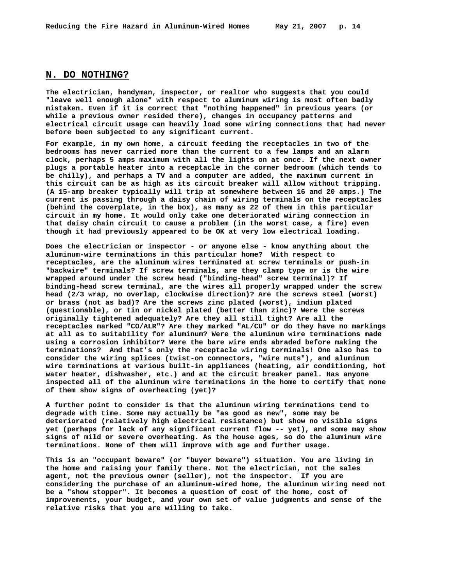#### **N. DO NOTHING?**

**The electrician, handyman, inspector, or realtor who suggests that you could "leave well enough alone" with respect to aluminum wiring is most often badly mistaken. Even if it is correct that "nothing happened" in previous years (or while a previous owner resided there), changes in occupancy patterns and electrical circuit usage can heavily load some wiring connections that had never before been subjected to any significant current.** 

**For example, in my own home, a circuit feeding the receptacles in two of the bedrooms has never carried more than the current to a few lamps and an alarm clock, perhaps 5 amps maximum with all the lights on at once. If the next owner plugs a portable heater into a receptacle in the corner bedroom (which tends to be chilly), and perhaps a TV and a computer are added, the maximum current in this circuit can be as high as its circuit breaker will allow without tripping. (A 15-amp breaker typically will trip at somewhere between 16 and 20 amps.) The current is passing through a daisy chain of wiring terminals on the receptacles (behind the coverplate, in the box), as many as 22 of them in this particular circuit in my home. It would only take one deteriorated wiring connection in that daisy chain circuit to cause a problem (in the worst case, a fire) even though it had previously appeared to be OK at very low electrical loading.** 

**Does the electrician or inspector - or anyone else - know anything about the aluminum-wire terminations in this particular home? With respect to receptacles, are the aluminum wires terminated at screw terminals or push-in "backwire" terminals? If screw terminals, are they clamp type or is the wire wrapped around under the screw head ("binding-head" screw terminal)? If binding-head screw terminal, are the wires all properly wrapped under the screw head (2/3 wrap, no overlap, clockwise direction)? Are the screws steel (worst) or brass (not as bad)? Are the screws zinc plated (worst), indium plated (questionable), or tin or nickel plated (better than zinc)? Were the screws originally tightened adequately? Are they all still tight? Are all the receptacles marked "CO/ALR"? Are they marked "AL/CU" or do they have no markings at all as to suitability for aluminum? Were the aluminum wire terminations made using a corrosion inhibitor? Were the bare wire ends abraded before making the terminations? And that's only the receptacle wiring terminals! One also has to consider the wiring splices (twist-on connectors, "wire nuts"), and aluminum wire terminations at various built-in appliances (heating, air conditioning, hot water heater, dishwasher, etc.) and at the circuit breaker panel. Has anyone inspected all of the aluminum wire terminations in the home to certify that none of them show signs of overheating (yet)?** 

**A further point to consider is that the aluminum wiring terminations tend to degrade with time. Some may actually be "as good as new", some may be deteriorated (relatively high electrical resistance) but show no visible signs yet (perhaps for lack of any significant current flow -- yet), and some may show signs of mild or severe overheating. As the house ages, so do the aluminum wire terminations. None of them will improve with age and further usage.** 

**This is an "occupant beware" (or "buyer beware") situation. You are living in the home and raising your family there. Not the electrician, not the sales agent, not the previous owner (seller), not the inspector. If you are considering the purchase of an aluminum-wired home, the aluminum wiring need not be a "show stopper". It becomes a question of cost of the home, cost of improvements, your budget, and your own set of value judgments and sense of the relative risks that you are willing to take.**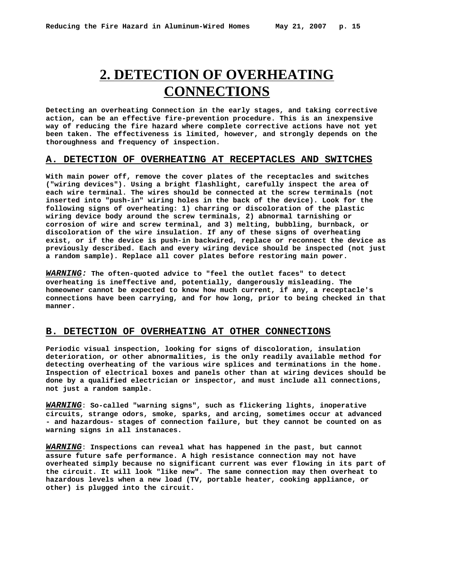## **2. DETECTION OF OVERHEATING CONNECTIONS**

**Detecting an overheating Connection in the early stages, and taking corrective action, can be an effective fire-prevention procedure. This is an inexpensive way of reducing the fire hazard where complete corrective actions have not yet been taken. The effectiveness is limited, however, and strongly depends on the thoroughness and frequency of inspection.**

#### **A. DETECTION OF OVERHEATING AT RECEPTACLES AND SWITCHES**

**With main power off, remove the cover plates of the receptacles and switches ("wiring devices"). Using a bright flashlight, carefully inspect the area of each wire terminal. The wires should be connected at the screw terminals (not inserted into "push-in" wiring holes in the back of the device). Look for the following signs of overheating: 1) charring or discoloration of the plastic wiring device body around the screw terminals, 2) abnormal tarnishing or corrosion of wire and screw terminal, and 3) melting, bubbling, burnback, or discoloration of the wire insulation. If any of these signs of overheating exist, or if the device is push-in backwired, replace or reconnect the device as previously described. Each and every wiring device should be inspected (not just a random sample). Replace all cover plates before restoring main power.**

*WARNING:* **The often-quoted advice to "feel the outlet faces" to detect overheating is ineffective and, potentially, dangerously misleading. The homeowner cannot be expected to know how much current, if any, a receptacle's connections have been carrying, and for how long, prior to being checked in that manner.**

#### **B. DETECTION OF OVERHEATING AT OTHER CONNECTIONS**

**Periodic visual inspection, looking for signs of discoloration, insulation deterioration, or other abnormalities, is the only readily available method for detecting overheating of the various wire splices and terminations in the home. Inspection of electrical boxes and panels other than at wiring devices should be done by a qualified electrician or inspector, and must include all connections, not just a random sample.**

*WARNING*: **So-called "warning signs", such as flickering lights, inoperative circuits, strange odors, smoke, sparks, and arcing, sometimes occur at advanced - and hazardous- stages of connection failure, but they cannot be counted on as warning signs in all instanaces.**

*WARNING*: **Inspections can reveal what has happened in the past, but cannot assure future safe performance. A high resistance connection may not have overheated simply because no significant current was ever flowing in its part of the circuit. It will look "like new". The same connection may then overheat to hazardous levels when a new load (TV, portable heater, cooking appliance, or other) is plugged into the circuit.**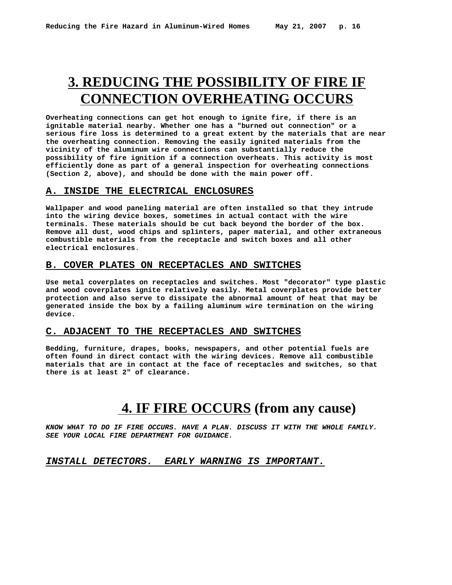## **3. REDUCING THE POSSIBILITY OF FIRE IF CONNECTION OVERHEATING OCCURS**

**Overheating connections can get hot enough to ignite fire, if there is an ignitable material nearby. Whether one has a "burned out connection" or a serious fire loss is determined to a great extent by the materials that are near the overheating connection. Removing the easily ignited materials from the vicinity of the aluminum wire connections can substantially reduce the possibility of fire ignition if a connection overheats. This activity is most efficiently done as part of a general inspection for overheating connections (Section 2, above), and should be done with the main power off.**

#### **A. INSIDE THE ELECTRICAL ENCLOSURES**

**Wallpaper and wood paneling material are often installed so that they intrude into the wiring device boxes, sometimes in actual contact with the wire terminals. These materials should be cut back beyond the border of the box. Remove all dust, wood chips and splinters, paper material, and other extraneous combustible materials from the receptacle and switch boxes and all other electrical enclosures**.

#### **B. COVER PLATES ON RECEPTACLES AND SWITCHES**

**Use metal coverplates on receptacles and switches. Most "decorator" type plastic and wood coverplates ignite relatively easily. Metal coverplates provide better protection and also serve to dissipate the abnormal amount of heat that may be generated inside the box by a failing aluminum wire termination on the wiring device.** 

#### **C. ADJACENT TO THE RECEPTACLES AND SWITCHES**

**Bedding, furniture, drapes, books, newspapers, and other potential fuels are often found in direct contact with the wiring devices. Remove all combustible materials that are in contact at the face of receptacles and switches, so that there is at least 2" of clearance.**

## **4. IF FIRE OCCURS (from any cause)**

*KNOW WHAT TO DO IF FIRE OCCURS. HAVE A PLAN. DISCUSS IT WITH THE WHOLE FAMILY. SEE YOUR LOCAL FIRE DEPARTMENT FOR GUIDANCE.*

#### *INSTALL DETECTORS. EARLY WARNING IS IMPORTANT.*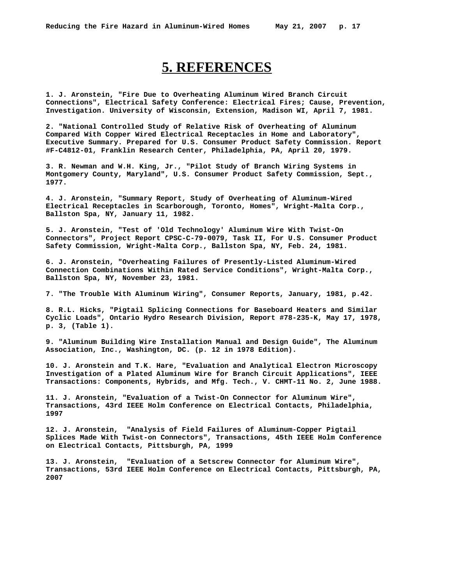## **5. REFERENCES**

**1. J. Aronstein, "Fire Due to Overheating Aluminum Wired Branch Circuit Connections", Electrical Safety Conference: Electrical Fires; Cause, Prevention, Investigation. University of Wisconsin, Extension, Madison WI, April 7, 1981.**

**2. "National Controlled Study of Relative Risk of Overheating of Aluminum Compared With Copper Wired Electrical Receptacles in Home and Laboratory", Executive Summary. Prepared for U.S. Consumer Product Safety Commission. Report #F-C4812-01, Franklin Research Center, Philadelphia, PA, April 20, 1979.**

**3. R. Newman and W.H. King, Jr., "Pilot Study of Branch Wiring Systems in Montgomery County, Maryland", U.S. Consumer Product Safety Commission, Sept., 1977.**

**4. J. Aronstein, "Summary Report, Study of Overheating of Aluminum-Wired Electrical Receptacles in Scarborough, Toronto, Homes", Wright-Malta Corp., Ballston Spa, NY, January 11, 1982.**

**5. J. Aronstein, "Test of 'Old Technology' Aluminum Wire With Twist-On Connectors", Project Report CPSC-C-79-0079, Task II, For U.S. Consumer Product Safety Commission, Wright-Malta Corp., Ballston Spa, NY, Feb. 24, 1981.**

**6. J. Aronstein, "Overheating Failures of Presently-Listed Aluminum-Wired Connection Combinations Within Rated Service Conditions", Wright-Malta Corp., Ballston Spa, NY, November 23, 1981.**

**7. "The Trouble With Aluminum Wiring", Consumer Reports, January, 1981, p.42.**

**8. R.L. Hicks, "Pigtail Splicing Connections for Baseboard Heaters and Similar Cyclic Loads", Ontario Hydro Research Division, Report #78-235-K, May 17, 1978, p. 3, (Table 1).**

**9. "Aluminum Building Wire Installation Manual and Design Guide", The Aluminum Association, Inc., Washington, DC. (p. 12 in 1978 Edition).**

**10. J. Aronstein and T.K. Hare, "Evaluation and Analytical Electron Microscopy Investigation of a Plated Aluminum Wire for Branch Circuit Applications", IEEE Transactions: Components, Hybrids, and Mfg. Tech., V. CHMT-11 No. 2, June 1988.**

**11. J. Aronstein, "Evaluation of a Twist-On Connector for Aluminum Wire", Transactions, 43rd IEEE Holm Conference on Electrical Contacts, Philadelphia, 1997**

**12. J. Aronstein, "Analysis of Field Failures of Aluminum-Copper Pigtail Splices Made With Twist-on Connectors", Transactions, 45th IEEE Holm Conference on Electrical Contacts, Pittsburgh, PA, 1999**

**13. J. Aronstein, "Evaluation of a Setscrew Connector for Aluminum Wire", Transactions, 53rd IEEE Holm Conference on Electrical Contacts, Pittsburgh, PA, 2007**